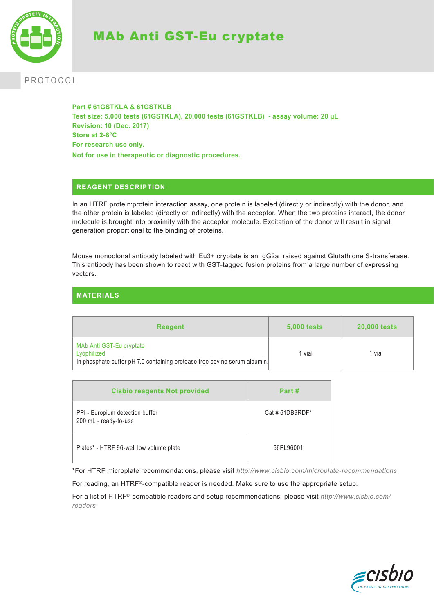

# MAb Anti GST-Eu cryptate

# PROTOCOL

**Part # 61GSTKLA & 61GSTKLB Test size: 5,000 tests (61GSTKLA), 20,000 tests (61GSTKLB) - assay volume: 20 µL Revision: 10 (Dec. 2017) Store at 2-8°C For research use only. Not for use in therapeutic or diagnostic procedures.**

# **REAGENT DESCRIPTION**

In an HTRF protein:protein interaction assay, one protein is labeled (directly or indirectly) with the donor, and the other protein is labeled (directly or indirectly) with the acceptor. When the two proteins interact, the donor molecule is brought into proximity with the acceptor molecule. Excitation of the donor will result in signal generation proportional to the binding of proteins.

Mouse monoclonal antibody labeled with Eu3+ cryptate is an IgG2a raised against Glutathione S-transferase. This antibody has been shown to react with GST-tagged fusion proteins from a large number of expressing vectors.

# **MATERIALS**

| <b>Reagent</b>                                                                                                       | <b>5,000 tests</b> | <b>20.000 tests</b> |
|----------------------------------------------------------------------------------------------------------------------|--------------------|---------------------|
| MAb Anti GST-Eu cryptate<br>Lyophilized<br>In phosphate buffer pH 7.0 containing protease free bovine serum albumin. | 1 vial             | l vial              |

| <b>Cisbio reagents Not provided</b>                      | Part #         |
|----------------------------------------------------------|----------------|
| PPI - Europium detection buffer<br>200 mL - ready-to-use | Cat #61DB9RDF* |
| Plates* - HTRF 96-well low volume plate                  | 66PL96001      |

\*For HTRF microplate recommendations, please visit *http://www.cisbio.com/microplate-recommendations*

For reading, an HTRF®-compatible reader is needed. Make sure to use the appropriate setup.

For a list of HTRF®-compatible readers and setup recommendations, please visit *http://www.cisbio.com/ readers*